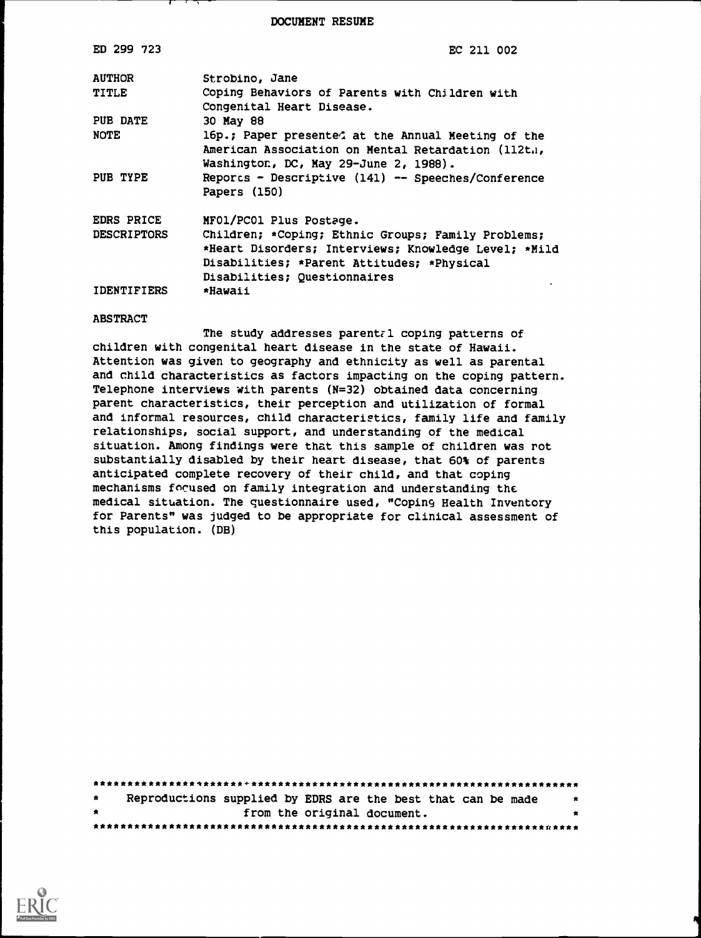DOCUMENT RESUME

| ED 299 723         | EC 211 002                                                                  |
|--------------------|-----------------------------------------------------------------------------|
| <b>AUTHOR</b>      | Strobino, Jane                                                              |
| <b>TITLE</b>       | Coping Behaviors of Parents with Children with<br>Congenital Heart Disease. |
| PUB DATE           | 30 May 88                                                                   |
| <b>NOTE</b>        | 16p.; Paper presented at the Annual Meeting of the                          |
|                    | American Association on Mental Retardation (112t.),                         |
|                    | Washington, DC, May 29-June 2, 1988).                                       |
| PUB TYPE           | Reporcs - Descriptive (141) -- Speeches/Conference<br>Papers (150)          |
| <b>EDRS PRICE</b>  | MF01/PC01 Plus Postage.                                                     |
| <b>DESCRIPTORS</b> | Children; *Coping; Ethnic Groups; Family Problems;                          |
|                    | *Heart Disorders; Interviews; Knowledge Level; *Mild                        |
|                    | Disabilities; *Parent Attitudes; *Physical                                  |
|                    | Disabilities; Questionnaires                                                |
| <b>IDENTIFIERS</b> | *Hawaii                                                                     |

#### ABSTRACT

The study addresses parental coping patterns of children with congenital heart disease in the state of Hawaii. Attention was given to geography and ethnicity as well as parental and child characteristics as factors impacting on the coping pattern. Telephone interviews with parents (N=32) obtained data concerning parent characteristics, their perception and utilization of formal and informal resources, child characteristics, family life and family relationships, social support, and understanding of the medical situation. Among findings were that this sample of children was rot substantially disabled by their heart disease, that 60% of parents anticipated complete recovery of their child, and that coping mechanisms focused on family integration and understanding the medical situation. The questionnaire used, "Coping Health Inventory for Parents" was judged to be appropriate for clinical assessment of this population. (DB)

| $\bullet$ |  | Reproductions supplied by EDRS are the best that can be made |  |
|-----------|--|--------------------------------------------------------------|--|
| $\bullet$ |  | from the original document.                                  |  |
|           |  |                                                              |  |

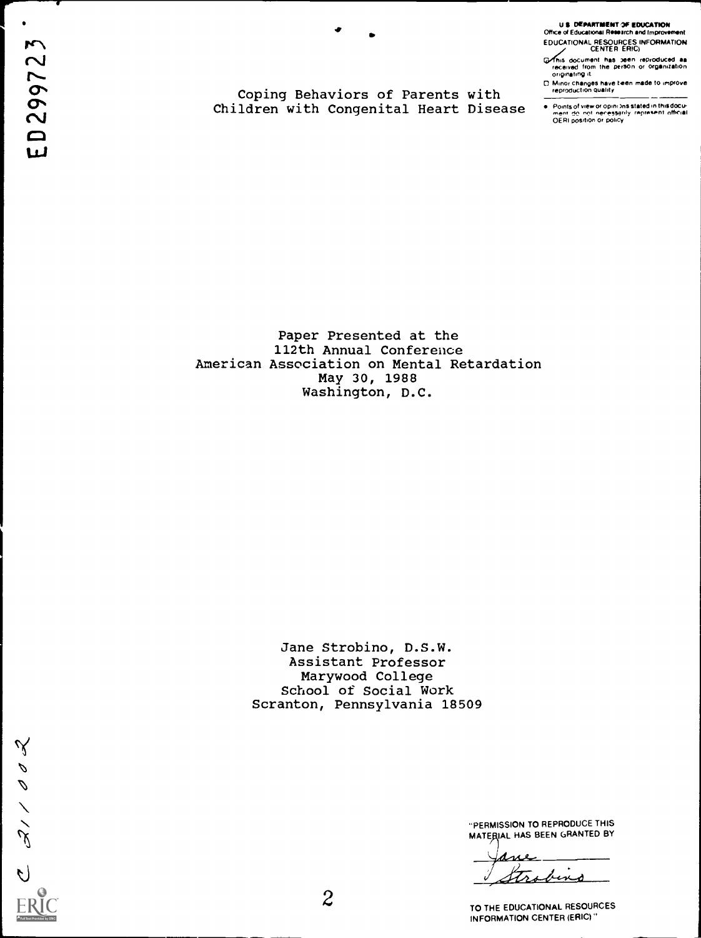$\bullet$  .

I-

U \$ DEPARTMENT OF EDUCATION Dance of Educational Research and Improvement EDUCATIONAL RESOURCES INFORMATION CENTER ERIC)

G/This document has been reproduced aa<br>received from the person or organization<br>originating it

Malor changes have teen made to improve reproduction quality

Points of view or opinions stated in thisdocu-<br>ment: <u>do inot neressa</u>rily irepresent: official<br>OERI position or policy

Coping Behaviors of Parents with Children with Congenital Heart Disease

Paper Presented at the 112th Annual Conference American Association on Mental Retardation May 30, 1988 Washington, D.C.

> Jane Strobino, D.S.W. Assistant Professor Marywood College School of Social Work Scranton, Pennsylvania 18509

C 211002

"PERMISSION TO REPRODUCE THIS MATERIAL HAS BEEN GRANTED BY

<u>ane</u>  $\ddot{\phantom{a}}$ bing trs

TO THE EDUCATIONAL RESOURCES INFORMATION CENTER (ERIC)"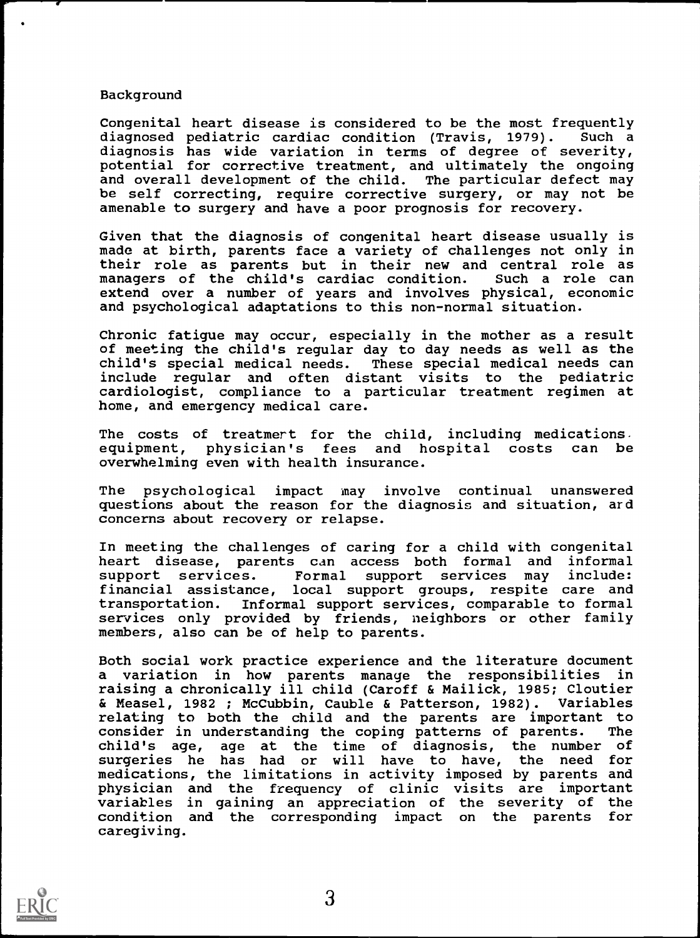### Background

Congenital heart disease is considered to be the most frequently<br>diagnosed pediatric cardiac condition (Travis, 1979). Such a diagnosed pediatric cardiac condition (Travis, 1979). diagnosis has wide variation in terms of degree of severity, potential for corrective treatment, and ultimately the ongoing and overall development of the child. The particular defect may be self correcting, require corrective surgery, or may not be amenable to surgery and have a poor prognosis for recovery.

Given that the diagnosis of congenital heart disease usually is made at birth, parents face a variety of challenges not only in their role as parents but in their new and central role as managers of the child's cardiac condition. Such a role can managers of the child's cardiac condition. extend over a number of years and involves physical, economic and psychological adaptations to this non-normal situation.

Chronic fatigue may occur, especially in the mother as a result of meeting the child's regular day to day needs as well as the child's special medical needs. These special medical needs can include regular and often distant visits to the pediatric cardiologist, compliance to a particular treatment regimen at home, and emergency medical care.

The costs of treatmert for the child, including medications. equipment, physician's fees and hospital costs can be overwhelming even with health insurance.

The psychological impact may involve continual unanswered questions about the reason for the diagnosis and situation, and concerns about recovery or relapse.

In meeting the challenges of caring for a child with congenital heart disease, parents can access both formal and informal services. Formal support services may include: financial assistance, local support groups, respite care and<br>transportation. Informal support services, comparable to formal Informal support services, comparable to formal services only provided by friends, neighbors or other family members, also can be of help to parents.

Both social work practice experience and the literature document a variation in how parents manage the responsibilities in raising a chronically ill child (Caroff & Mailick, 1985; Cloutier & Measel, 1982 ; McCubbin, Cauble & Patterson, 1982). Variables relating to both the child and the parents are important to consider in understanding the coping patterns of parents. The consider in understanding the coping patterns of parents.<br>child's age, age at the time of diagnosis, the numbe age at the time of diagnosis, the number of surgeries he has had or will have to have, the need for medications, the limitations in activity imposed by parents and physician and the frequency of clinic visits are important variables in gaining an appreciation of the severity of the condition and the corresponding impact on the parents for caregiving.

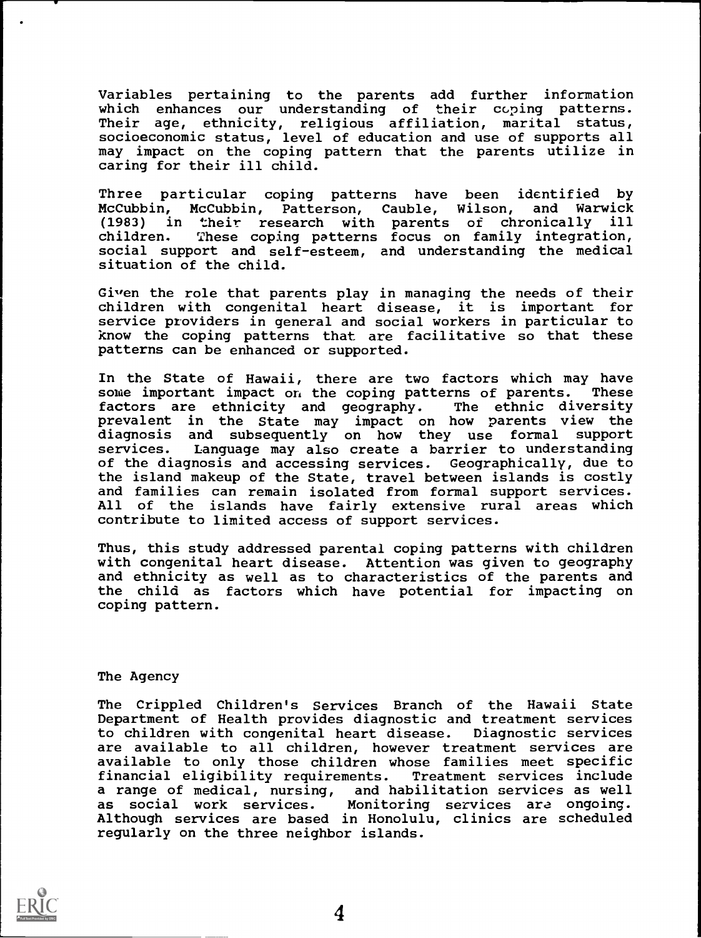Variables pertaining to the parents add further information which enhances our understanding of their coping patterns. Their age, ethnicity, religious affiliation, marital status, socioeconomic status, level of education and use of supports all may impact on the coping pattern that the parents utilize in caring for their ill child.

Three particular coping patterns have been identified by<br>McCubbin, McCubbin, Patterson, Cauble, Wilson, and Warwick McCubbin, McCubbin, Patterson, Cauble, Wilson, (1983) in their research with parents of chronically ill children. These coping patterns focus on family integration, social support and self-esteem, and understanding the medical situation of the child.

Given the role that parents play in managing the needs of their the state of their children with congenital heart disease, it is important for service providers in general and social workers in particular to know the coping patterns that are facilitative so that these patterns can be enhanced or supported.

In the State of Hawaii, there are two factors which may have<br>some important impact on the coping patterns of parents. These some important impact on the coping patterns of parents. These<br>factors are ethnicity and geography. The ethnic diversity factors are ethnicity and geography. prevalent in the State may impact on how parents view the diagnosis and subsequently on how they use formal support services. Language may also create a barrier to understanding of the diagnosis and accessing services. Geographically, due to the island makeup of the State, travel between islands is costly and families can remain isolated from formal support services. All of the islands have fairly extensive rural areas which contribute to limited access of support services.

Thus, this study addressed parental coping patterns with children with congenital heart disease. Attention was given to geography and ethnicity as well as to characteristics of the parents and the child as factors which have potential for impacting on coping pattern.

#### The Agency

The Crippled Children's Services Branch of the Hawaii State Department of Health provides diagnostic and treatment services to children with congenital heart disease. Diagnostic services are available to all children, however treatment services are available to only those children whose families meet specific financial eligibility requirements. Treatment services include a range of medical, nursing, and habilitation services as well as social work services. Monitoring services ara ongoing. Although services are based in Honolulu, clinics are scheduled regularly on the three neighbor islands.

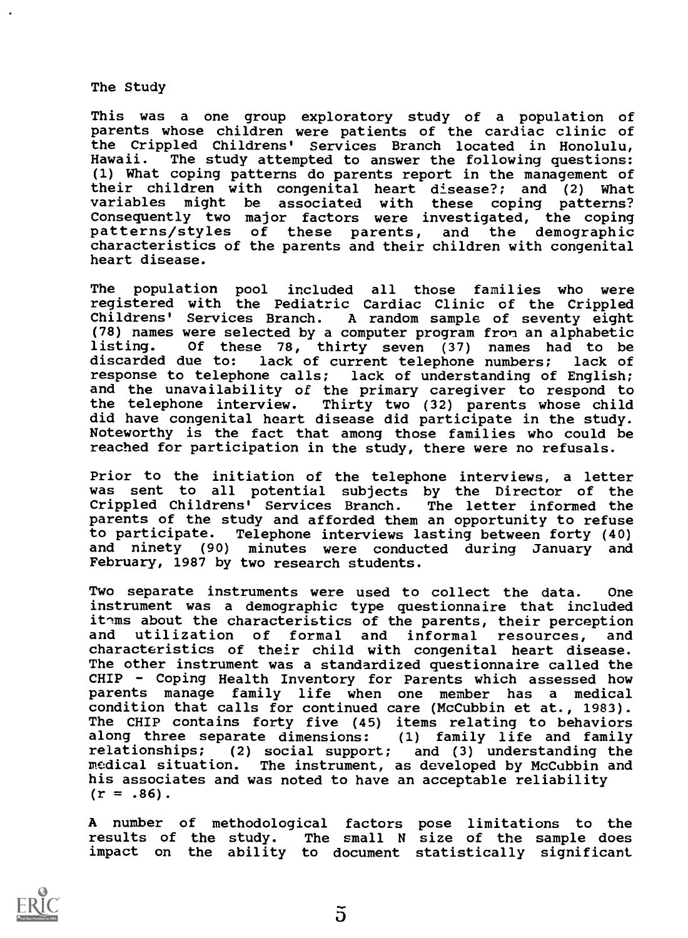The Study

This was a one group exploratory study of a population of parents whose children were patients of the cardiac clinic of the Crippled Childrens' Services Branch located in Honolulu, Hawaii. The study attempted to answer the following questions: (1) What coping patterns do parents report in the management of their children with congenital heart disease?; and (2) What might be associated with these coping patterns? Consequently two major factors were investigated, the coping patterns/styles of these parents, and the demographic characteristics of the parents and their children with congenital heart disease.

The population pool included all those families who were registered with the Pediatric Cardiac Clinic of the Crippled Childrens' Services Branch. A random sample of seventy eight (78) names were selected by a computer program fron an alphabetic listing. Of these 78, thirty seven (37) names had to be<br>discarded due to: lack of current telephone numbers; lack of lack of current telephone numbers; response to telephone calls; lack of understanding of English; and the unavailability of the primary caregiver to respond to the telephone interview. Thirty two (32) parents whose child did have congenital heart disease did participate in the study. Noteworthy is the fact that among those families who could be reached for participation in the study, there were no refusals.

Prior to the initiation of the telephone interviews, a letter was sent to all potential subjects by the Director of the Crippled Childrens' Services Branch. The letter informed the parents of the study and afforded them an opportunity to refuse to participate. Telephone interviews lasting between forty (40) and ninety (90) minutes were conducted during January and February, 1987 by two research students.

Two separate instruments were used to collect the data. One instrument was a demographic type questionnaire that included ithms about the characteristics of the parents, their perception and utilization of formal and informal resources, and characteristics of their child with congenital heart disease. The other instrument was a standardized questionnaire called the CHIP - Coping Health Inventory for Parents which assessed how parents manage family life when one member has a medical condition that calls for continued care (McCubbin et at., 1983). The CHIP contains forty five (45) items relating to behaviors along three separate dimensions: (1) family life and family relationships; (2) social support; and (3) understanding the medical situation. The instrument, as developed by McCubbin and his associates and was noted to have an acceptable reliability  $(r = .86)$ .

A number of methodological factors pose limitations to the results of the study. The small N size of the sample does impact on the ability to document statistically significant



 $\tilde{p}$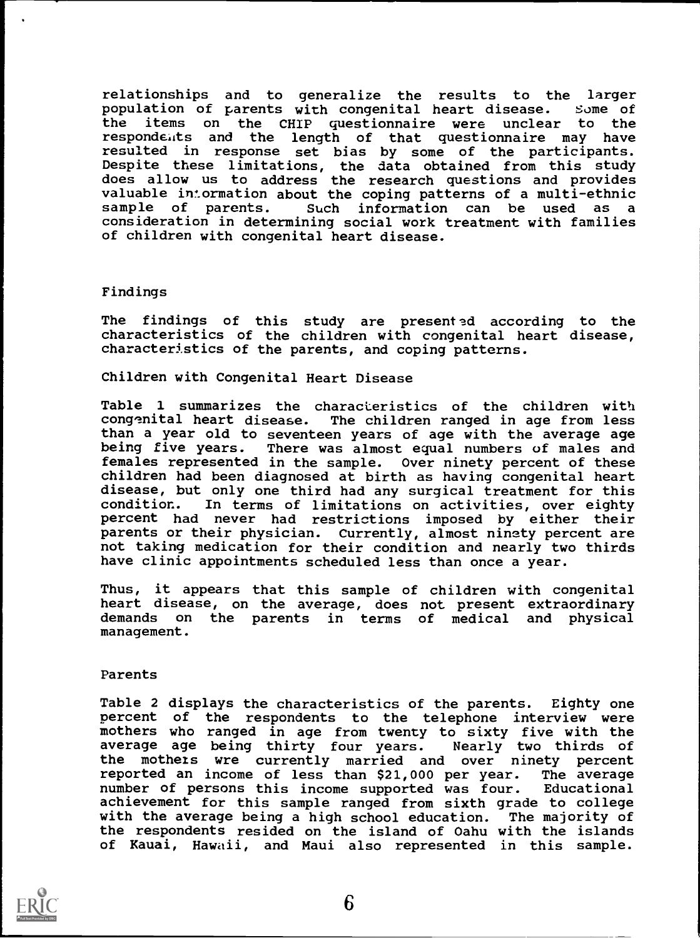relationships and to generalize the results to the larger population of parents with congenital heart disease. Some of<br>the items on the CHIP questionnaire were unclear to the items on the CHIP questionnaire were unclear to the respondents and the length of that questionnaire may have resulted in response set bias by some of the participants. Despite these limitations, the data obtained from this study does allow us to address the research questions and provides valuable intormation about the coping patterns of a multi-ethnic<br>sample of parents. Such information can be used as a consideration in determining social work treatment with families of children with congenital heart disease.

### Findings

The findings of this study are presented according to the characteristics of the children with congenital heart disease, characteristics of the parents, and coping patterns.

Children with Congenital Heart Disease

Table 1 summarizes the characteristics of the children with<br>congenital heart disease. The children ranged in age from less The children ranged in age from less than a year old to seventeen years of age with the average age being five years. There was almost equal numbers of males and females represented in the sample. Over ninety percent of these children had been diagnosed at birth as having congenital heart disease, but only one third had any surgical treatment for this<br>condition. In terms of limitations on activities, over eighty In terms of limitations on activities, over eighty percent had never had restrictions imposed by either their parents or their physician. Currently, almost ninety percent are not taking medication for their condition and nearly two thirds have clinic appointments scheduled less than once a year.

Thus, it appears that this sample of children with congenital heart disease, on the average, does not present extraordinary demands on the parents in terms of medical and physical management.

### Parents

Table 2 displays the characteristics of the parents. Eighty one percent of the respondents to the telephone interview were mothers who ranged in age from twenty to sixty five with the<br>average age being thirty four years. Nearly two thirds of average age being thirty four years. the mothers wre currently married and over ninety percent reported an income of less than \$21,000 per year. The average number of persons this income supported was four. Educational achievement for this sample ranged from sixth grade to college with the average being a high school education. The majority of the respondents resided on the island of Oahu with the islands of Kauai, Hawaii, and Maui also represented in this sample.

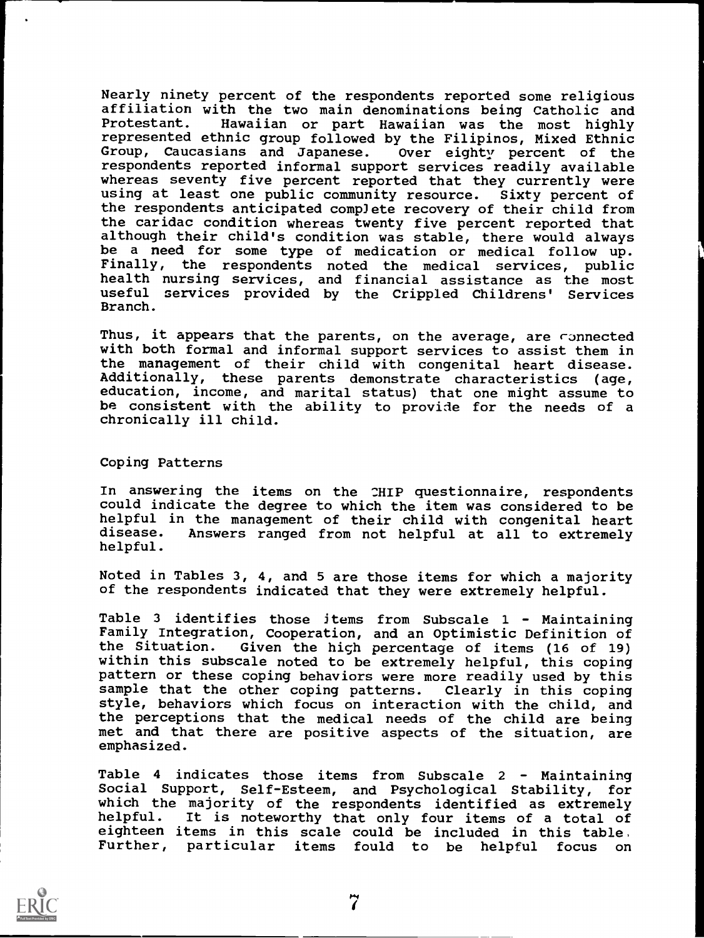Nearly ninety percent of the respondents reported some religious affiliation with the two main denominations being Catholic and Hawaiian or part Hawaiian was the most highly represented ethnic group followed by the Filipinos, Mixed Ethnic Group, Caucasians and Japanese. Over eighty percent of the respondents reported informal support services readily available whereas seventy five percent reported that they currently were using at least one public community resource. Sixty percent of the respondents anticipated complete recovery of their child from the caridac condition whereas twenty five percent reported that although their child's condition was stable, there would always be a need for some type of medication or medical follow up.<br>Finally, the respondents noted the medical services, public the respondents noted the medical services, public health nursing services, and financial assistance as the most useful services provided by the Crippled Childrens' Services Branch.

Thus, it appears that the parents, on the average, are connected with both formal and informal support services to assist them in the management of their child with congenital heart disease. Additionally, these parents demonstrate characteristics (age, education, income, and marital status) that one might assume to be consistent with the ability to provide for the needs of a chronically ill child.

#### Coping Patterns

In answering the items on the CHIP questionnaire, respondents could indicate the degree to which the item was considered to be helpful in the management of their child with congenital heart<br>disease. Answers ranged from not helpful at all to extremely Answers ranged from not helpful at all to extremely helpful.

Noted in Tables 3, 4, and 5 are those items for which a majority of the respondents indicated that they were extremely helpful.

Table 3 identifies those items from Subscale <sup>1</sup> - Maintaining Family Integration, Cooperation, and an Optimistic Definition of<br>the Situation. Given the hich percentage of items (16 of 19) Given the high percentage of items (16 of 19) within this subscale noted to be extremely helpful, this coping pattern or these coping behaviors were more readily used by this sample that the other coping patterns. Clearly in this coping sample that the other coping patterns. style, behaviors which focus on interaction with the child, and the perceptions that the medical needs of the child are being met and that there are positive aspects of the situation, are emphasized.

Table 4 indicates those items from Subscale 2 - Maintaining Social Support, Self-Esteem, and Psychological Stability, for which the majority of the respondents identified as extremely helpful. It is noteworthy that only four items of a total of eighteen items in this scale could be included in this table, Further, particular items fould to be helpful focus on

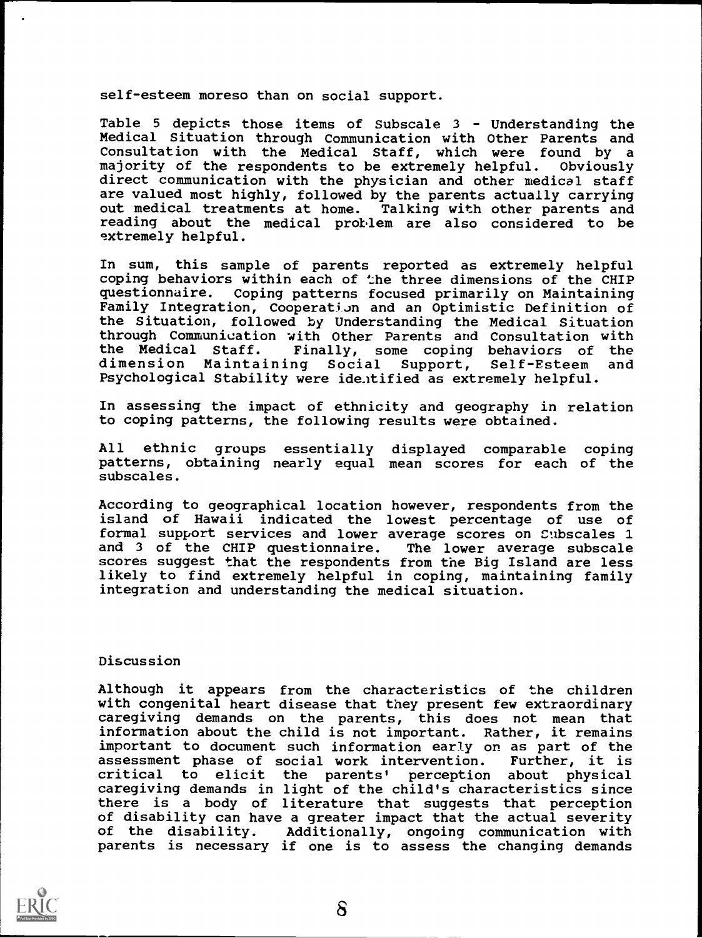self-esteem moreso than on social support.

Table 5 depicts those items of Subscale 3 - Understanding the Medical Situation through Communication with Other Parents and Consultation with the Medical Staff, which were found by a majority of the respondents to be extremely helpful. Obviously direct communication with the physician and other medical staff are valued most highly, followed by the parents actually carrying out medical treatments at home. Talking with other parents and reading about the medical problem are also considered to be extremely helpful.

In sum, this sample of parents reported as extremely helpful coping behaviors within each of the three dimensions of the CHIP questionnaire. Coping patterns focused primarily on Maintaining Family Integration, Cooperation and an Optimistic Definition of the Situation, followed by Understanding the Medical Situation through Communication with Other Parents and Consultation with<br>the Medical Staff. Finally, some coping behaviors of the Finally, some coping behaviors of the<br>ing Social Support, Self-Esteem and dimension Maintaining Social Support, Self-Esteem and Psychological Stability were ide.itified as extremely helpful.

In assessing the impact of ethnicity and geography in relation to coping patterns, the following results were obtained.

All ethnic groups essentially displayed comparable coping patterns, obtaining nearly equal mean scores for each of the subscales.

According to geographical location however, respondents from the island of Hawaii indicated the lowest percentage of use of formal support services and lower average scores on Subscales 1 and 3 of the CHIP questionnaire. The lower average subscale and 3 of the CHIP questionnaire. scores suggest that the respondents from the Big Island are less likely to find extremely helpful in coping, maintaining family integration and understanding the medical situation.

### Discussion

Although it appears from the characteristics of the children with congenital heart disease that they present few extraordinary caregiving demands on the parents, this does not mean that information about the child is not important. Rather, it remains important to document such information early on as part of the<br>assessment phase of social work intervention. Further, it is assessment phase of social work intervention. critical to elicit the parents' perception about physical caregiving demands in light of the child's characteristics since there is a body of literature that suggests that perception of disability can have a greater impact that the actual severity of the disability. Additionally, ongoing communication with parents is necessary if one is to assess the changing demands

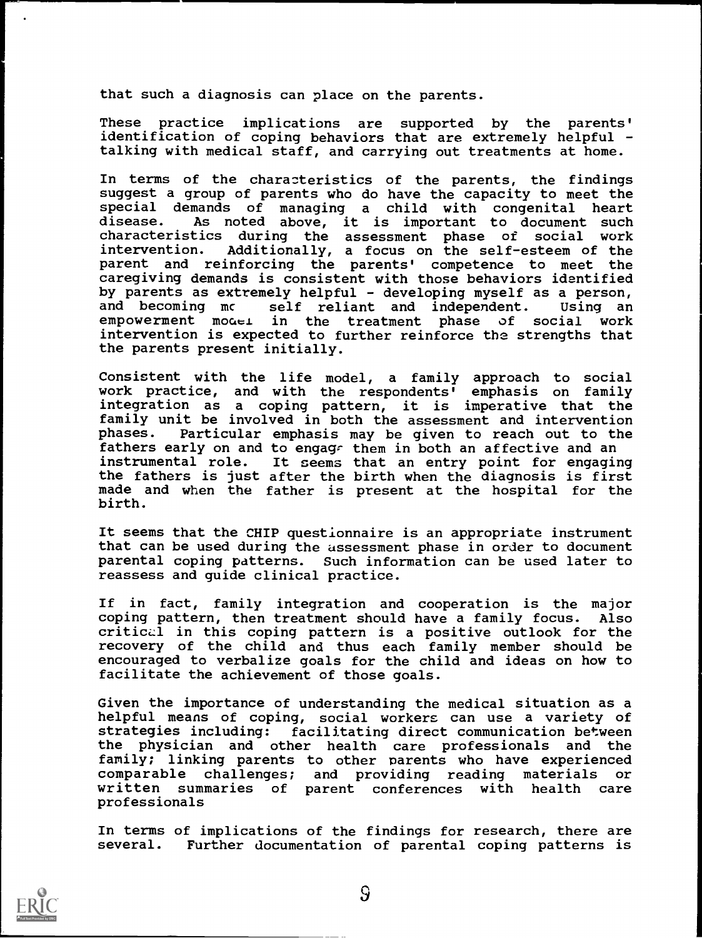that such a diagnosis can place on the parents.

These practice implications are supported by the parents' identification of coping behaviors that are extremely helpful talking with medical staff, and carrying out treatments at home.

In terms of the characteristics of the parents, the findings suggest a group of parents who do have the capacity to meet the special demands of managing a child with congenital heart As noted above, it is important to document such characteristics during the assessment phase of social work intervention. Additionally, a focus on the self-esteem of the parent and reinforcing the parents' competence to meet the caregiving demands is consistent with those behaviors identified by parents as extremely helpful - developing myself as a person, and becoming me self reliant and independent. Using an empowerment model in the treatment phase of social work empowerment model in the treatment phase of social intervention is expected to further reinforce the strengths that the parents present initially.

Consistent with the life model, a family approach to social work practice, and with the respondents' emphasis on family integration as a coping pattern, it is imperative that the family unit be involved in both the assessment and intervention<br>phases. Particular emphasis may be given to reach out to the Particular emphasis may be given to reach out to the fathers early on and to engage them in both an affective and an instrumental role. It seems that an entry point for engaging the fathers is just after the birth when the diagnosis is first made and when the father is present at the hospital for the birth.

It seems that the CHIP questionnaire is an appropriate instrument that can be used during the assessment phase in order to document parental coping patterns. Such information can be used later to reassess and guide clinical practice.

If in fact, family integration and cooperation is the major coping pattern, then treatment should have a family focus. critical in this coping pattern is a positive outlook for the recovery of the child and thus each family member should be encouraged to verbalize goals for the child and ideas on how to facilitate the achievement of those goals.

Given the importance of understanding the medical situation as a helpful means of coping, social workers can use a variety of strategies including: facilitating direct communication between the physician and other health care professionals and the family; linking parents to other parents who have experienced comparable challenges; and providing reading materials or written summaries of parent conferences with health care professionals

In terms of implications of the findings for research, there are several. Further documentation of parental coping patterns is

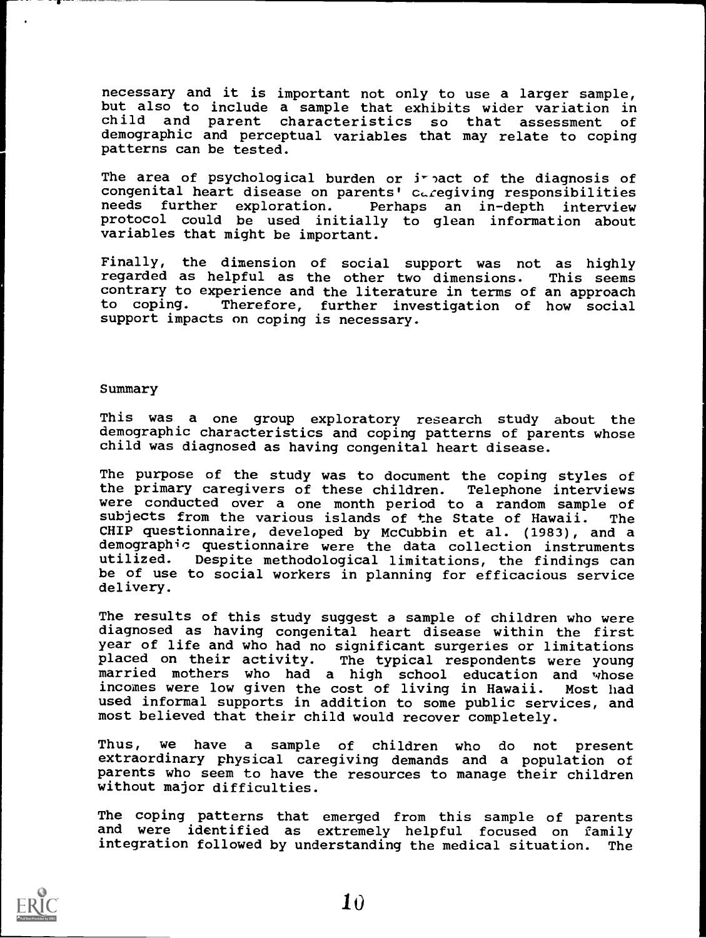necessary and it is important not only to use a larger sample, but also to include a sample that exhibits wider variation in child and parent characteristics so that assessment of child and parent characteristics so that assessment demographic and perceptual variables that may relate to coping patterns can be tested.

The area of psychological burden or  $i^r$  act of the diagnosis of congenital heart disease on parents' caregiving responsibilities<br>needs further exploration. Perhaps an in-depth interview Perhaps an in-depth interview protocol could be used initially to glean information about variables that might be important.

Finally, the dimension of social support was not as highly regarded as helpful as the other two dimensions. This seems regarded as helpful as the other two dimensions. contrary to experience and the literature in terms of an approach<br>to coping. Therefore, further investigation of how social Therefore, further investigation of how social support impacts on coping is necessary.

#### Summary

This was a one group exploratory research study about the demographic characteristics and coping patterns of parents whose child was diagnosed as having congenital heart disease.

The purpose of the study was to document the coping styles of the primary caregivers of these children. Telephone interviews were conducted over a one month period to a random sample of subjects from the various islands of the State of Hawaii. The subjects from the various islands of the State of Hawaii. CHIP questionnaire, developed by McCubbin et al. (1983), and a demographic questionnaire were the data collection instruments<br>utilized. Despite methodological limitations, the findings can Despite methodological limitations, the findings can be of use to social workers in planning for efficacious service delivery.

The results of this study suggest a sample of children who were diagnosed as having congenital heart disease within the first year of life and who had no significant surgeries or limitations placed on their activity. The typical respondents were young married mothers who had a high school education and whose incomes were low given the cost of living in Hawaii. Most had used informal supports in addition to some public services, and most believed that their child would recover completely.

Thus, we have a sample of children who do not present extraordinary physical caregiving demands and a population of parents who seem to have the resources to manage their children without major difficulties.

The coping patterns that emerged from this sample of parents and were identified as extremely helpful focused on family integration followed by understanding the medical situation. The

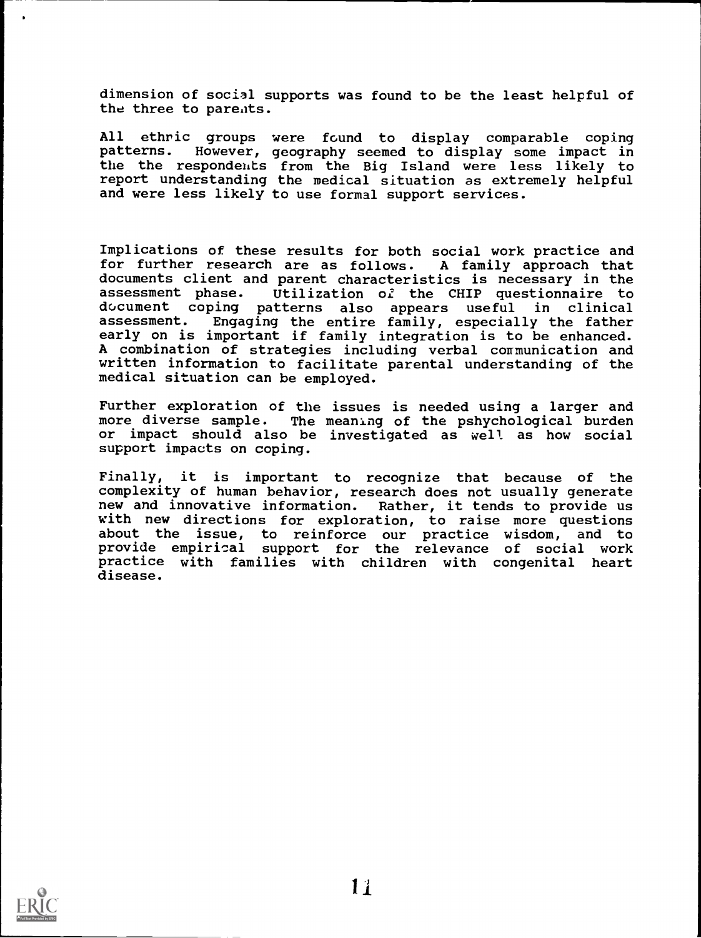dimension of social supports was found to be the least helpful of the three to parents.

All ethric groups were found to display comparable coping<br>patterns. However, geography seemed to display some impact in However, geography seemed to display some impact in the the respondehts from the Big Island were less likely to report understanding the medical situation as extremely helpful and were less likely to use formal support services.

Implications of these results for both social work practice and for further research are as follows. A family approach that documents client and parent characteristics is necessary in the assessment phase. Utilization of the CHIP questionnaire to Utilization of the CHIP questionnaire to document coping patterns also appears useful in clinical<br>assessment. Engaging the entire family, especially the father Engaging the entire family, especially the father early on is important if family integration is to be enhanced. A combination of strategies including verbal communication and written information to facilitate parental understanding of the medical situation can be employed.

Further exploration of the issues is needed using a larger and more diverse sample. The meaning of the pshychological burden or impact should also be investigated as well as how social support impacts on coping.

Finally, it is important to recognize that because of the complexity of human behavior, research does not usually generate new and innovative information. Rather, it tends to provide us with new directions for exploration, to raise more questions about the issue, to reinforce our practice wisdom, and to provide empirical support for the relevance of social work practice with families with children with congenital heart disease.

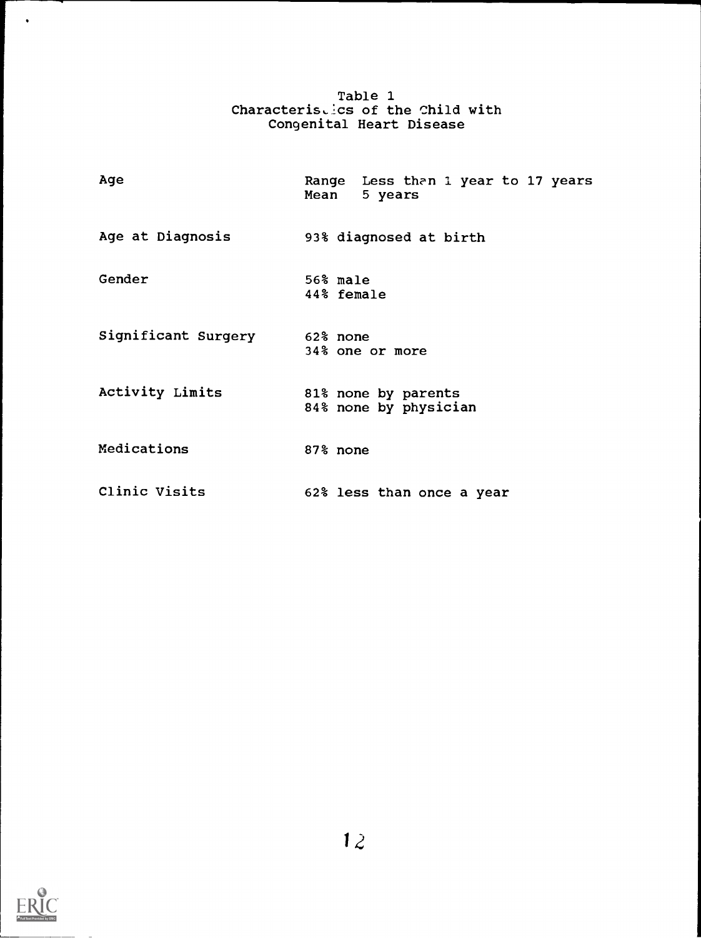| Table 1                           |  |
|-----------------------------------|--|
| Characteristics of the Child with |  |
| Congenital Heart Disease          |  |

| Age                 | Range Less than 1 year to 17 years<br>Mean<br>5 years |
|---------------------|-------------------------------------------------------|
| Age at Diagnosis    | 93% diagnosed at birth                                |
| Gender              | 56% male<br>44% female                                |
| Significant Surgery | 62% none<br>34% one or more                           |
| Activity Limits     | 81% none by parents<br>84% none by physician          |
| Medications         | 87% none                                              |
| Clinic Visits       | 62% less than once a year                             |



 $\ddot{\phantom{0}}$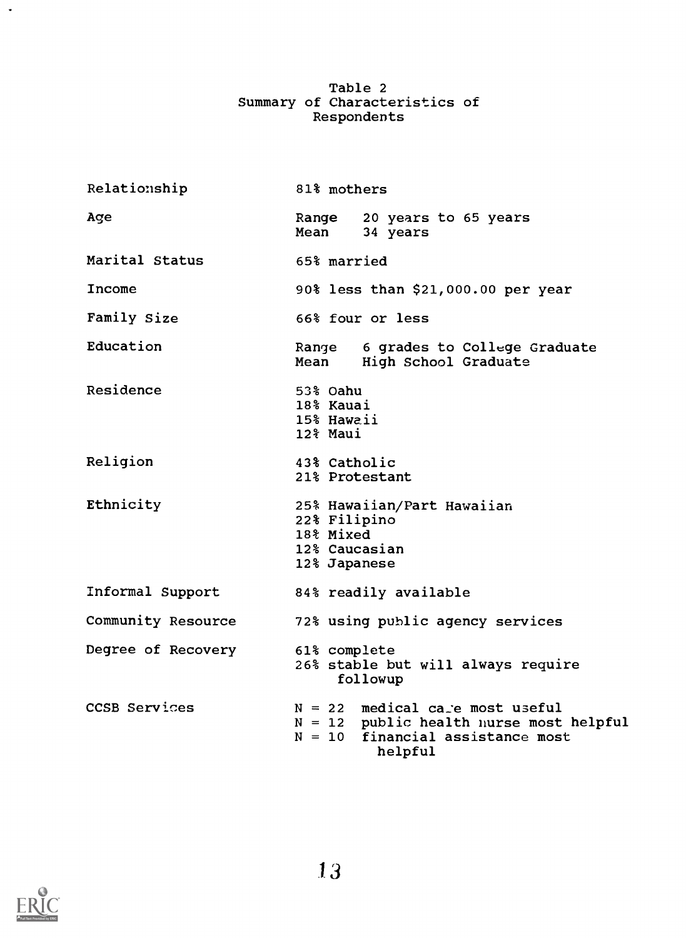# Table 2 Summary of Characteristics of Respondents

| Relationship       | 81% mothers                                                                                                                     |
|--------------------|---------------------------------------------------------------------------------------------------------------------------------|
| Age                | 20 years to 65 years<br>Range<br>Mean<br>34 years                                                                               |
| Marital Status     | 65% married                                                                                                                     |
| Income             | 90% less than \$21,000.00 per year                                                                                              |
| Family Size        | 66% four or less                                                                                                                |
| Education          | Range 6 grades to College Graduate<br>Mean High School Graduate                                                                 |
| Residence          | 53% Oahu<br>18% Kauai<br>15% Hawaii<br>12% Maui                                                                                 |
| Religion           | 43% Catholic<br>21% Protestant                                                                                                  |
| Ethnicity          | 25% Hawaiian/Part Hawaiian<br>22% Filipino<br>18% Mixed<br>12% Caucasian<br>12% Japanese                                        |
| Informal Support   | 84% readily available                                                                                                           |
| Community Resource | 72% using public agency services                                                                                                |
| Degree of Recovery | 61% complete<br>26% stable but will always require<br>followup                                                                  |
| CCSB Services      | $N = 22$ medical care most useful<br>$N = 12$ public health nurse most helpful<br>$N = 10$ financial assistance most<br>helpful |



 $\langle \rangle$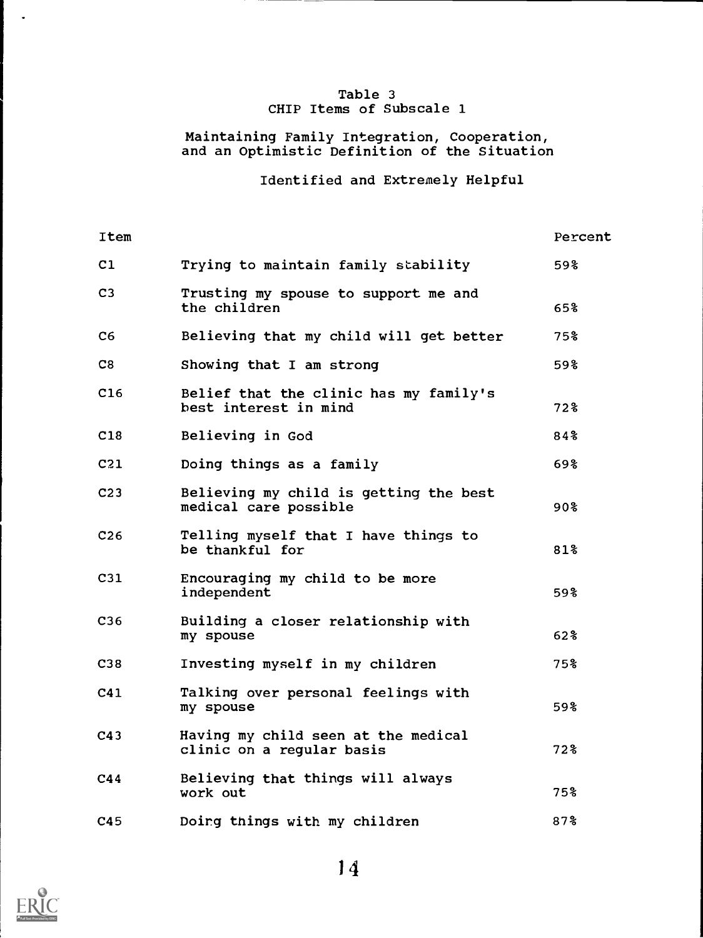# Table 3 CHIP Items of Subscale 1

## Maintaining Family Integration, Cooperation, and an Optimistic Definition of the Situation

# Identified and Extremely Helpful

| Item            |                                                                  | Percent         |
|-----------------|------------------------------------------------------------------|-----------------|
| C1              | Trying to maintain family stability                              | 59%             |
| C3              | Trusting my spouse to support me and<br>the children             | 65%             |
| C6              | Believing that my child will get better                          | 75%             |
| C8              | Showing that I am strong                                         | 59%             |
| C16             | Belief that the clinic has my family's<br>best interest in mind  | 72%             |
| C18             | Believing in God                                                 | 84%             |
| C21             | Doing things as a family                                         | 69%             |
| C <sub>23</sub> | Believing my child is getting the best<br>medical care possible  | 90 <sup>8</sup> |
| C <sub>26</sub> | Telling myself that I have things to<br>be thankful for          | 81%             |
| C31             | Encouraging my child to be more<br>independent                   | 59%             |
| C36             | Building a closer relationship with<br>my spouse                 | 62%             |
| C38             | Investing myself in my children                                  | 75%             |
| C41             | Talking over personal feelings with<br>my spouse                 | 59%             |
| C43             | Having my child seen at the medical<br>clinic on a regular basis | 72%             |
| C44             | Believing that things will always<br>work out                    | 75%             |
| C45             | Doing things with my children                                    | 87%             |



 $\ddot{\phantom{a}}$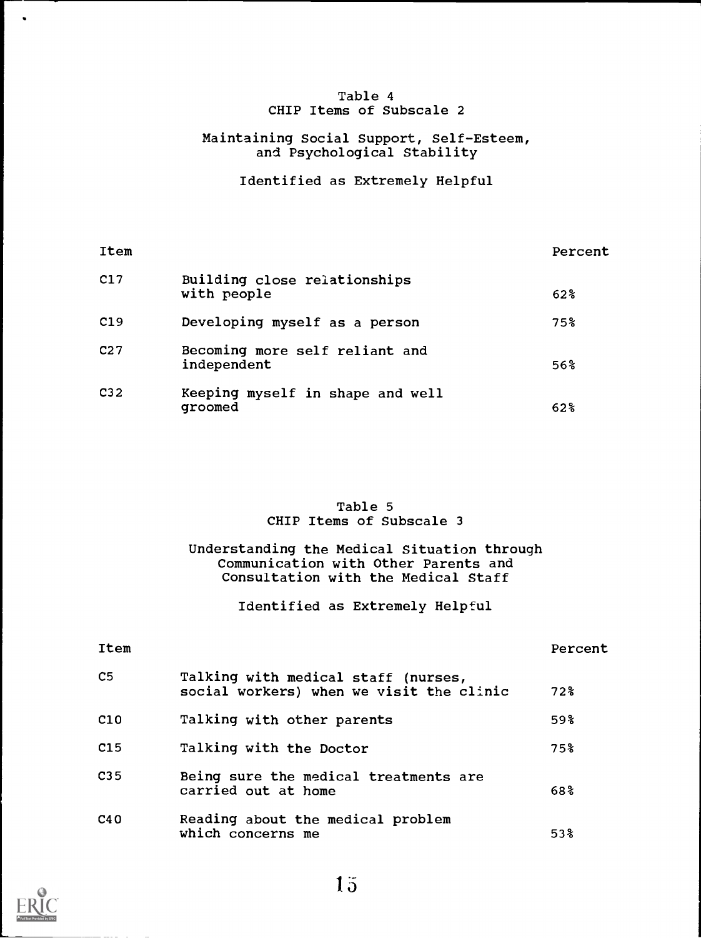### Table 4 CHIP Items of Subscale 2

## Maintaining Social Support, Self-Esteem, and Psychological Stability

Identified as Extremely Helpful

| Item            |                                               | Percent |
|-----------------|-----------------------------------------------|---------|
| C17             | Building close relationships<br>with people   | $62\%$  |
| C19             | Developing myself as a person                 | 75%     |
| C <sub>27</sub> | Becoming more self reliant and<br>independent | 56%     |
| C <sub>32</sub> | Keeping myself in shape and well<br>groomed   | $62\%$  |

## Table 5 CHIP Items of Subscale 3

Understanding the Medical Situation through Communication with Other Parents and Consultation with the Medical Staff

Identified as Extremely Helpful

| Item            |                                                                                 | Percent |
|-----------------|---------------------------------------------------------------------------------|---------|
| C <sub>5</sub>  | Talking with medical staff (nurses,<br>social workers) when we visit the clinic | $72\%$  |
| C10             | Talking with other parents                                                      | 59%     |
| C15             | Talking with the Doctor                                                         | 75%     |
| C <sub>35</sub> | Being sure the medical treatments are<br>carried out at home                    | 68%     |
| C40             | Reading about the medical problem<br>which concerns me                          | $53\%$  |



 $\bullet$